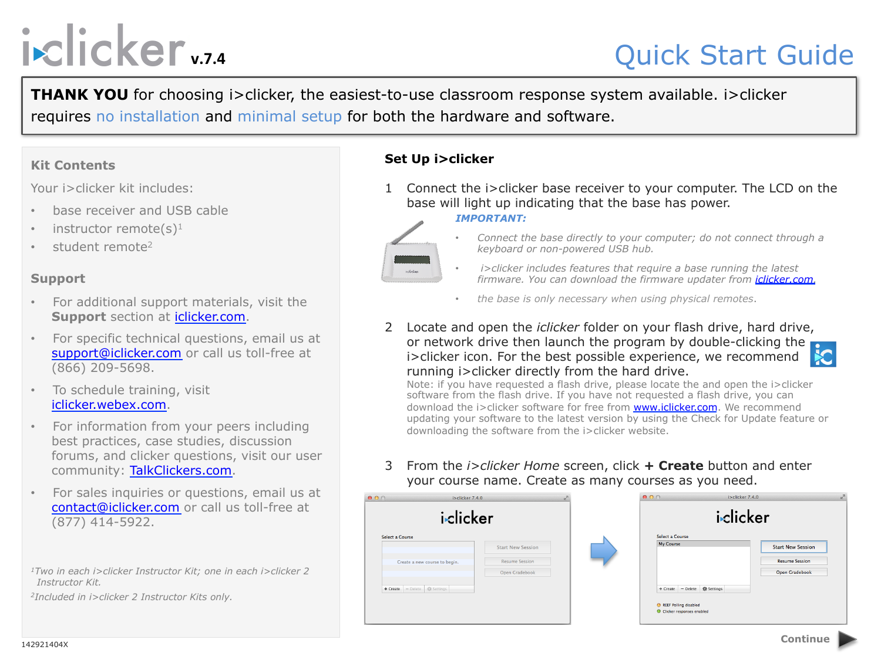# **i**slicker<sub>vz4</sub>

# Quick Start Guide

**THANK YOU** for choosing i>clicker, the easiest-to-use classroom response system available. i>clicker requires no installation and minimal setup for both the hardware and software.

# **Kit Contents**

Your i>clicker kit includes:

- base receiver and USB cable
- instructor remote(s)<sup>1</sup>
- student remote<sup>2</sup>

# **Support**

- For additional support materials, visit the **Support** section at iclicker.com.
- For specific technical questions, email us at support@iclicker.com or call us toll-free at (866) 209-5698.
- To schedule training, visit iclicker.webex.com.
- For information from your peers including best practices, case studies, discussion forums, and clicker questions, visit our user community: TalkClickers.com.
- For sales inquiries or questions, email us at contact@iclicker.com or call us toll-free at (877) 414-5922.
- *1Two in each i>clicker Instructor Kit; one in each i>clicker 2 Instructor Kit.*
- *2Included in i>clicker 2 Instructor Kits only.*

# **Set Up i>clicker**

1 Connect the i>clicker base receiver to your computer. The LCD on the base will light up indicating that the base has power.

#### *IMPORTANT:*



- *Connect the base directly to your computer; do not connect through a keyboard or non-powered USB hub.*
- *i>clicker includes features that require a base running the latest firmware. You can download the firmware updater from iclicker.com.*
- *the base is only necessary when using physical remotes*.
- 2 Locate and open the *iclicker* folder on your flash drive, hard drive, or network drive then launch the program by double-clicking the i>clicker icon. For the best possible experience, we recommend running i>clicker directly from the hard drive.



Note: if you have requested a flash drive, please locate the and open the i>clicker software from the flash drive. If you have not requested a flash drive, you can download the i>clicker software for free from www.iclicker.com. We recommend updating your software to the latest version by using the Check for Update feature or downloading the software from the i>clicker website.

3 From the *i>clicker Home* screen, click **+ Create** button and enter your course name. Create as many courses as you need.

| 000<br>$i > c$ licker 7.4.0<br>iclicker |  | 000<br>i>clicker 7.4.0<br>iclicker |                                                                                                              |                                                         |
|-----------------------------------------|--|------------------------------------|--------------------------------------------------------------------------------------------------------------|---------------------------------------------------------|
|                                         |  |                                    |                                                                                                              | <b>Select a Course</b><br>Create a new course to begin. |
| + Create - Delete = <a></a>             |  |                                    | + Create - Delete<br>$\frac{d\mathbf{r}}{dt}$ Settings<br>REEF Polling disabled<br>Clicker responses enabled |                                                         |

142921404X